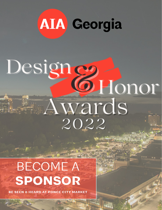# **AIA** Georgia

# Designes<br>CHonor Wards

## BECOME A **SPONSOR**

**BE SEEN & HEARD AT PONCE CITY MARKET**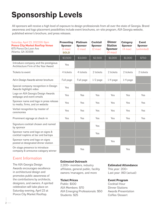## **Sponsorship Levels**

All sponsors will receive a high level of exposure to design professionals from all over the state of Georgia. Brand awareness and logo placement possibilities include event brochures, on-site program, AIA Georgia website, published winner's brochure, and press releases.

| Saturday, April 23, 2022   6-9pm<br><b>Ponce City Market Rooftop Venue</b><br>675 Ponce De Leon Ave<br>Atlanta, GA 30308 | Presenting<br><b>Sponsor</b><br>$(l \max)$<br><b>SOLD</b> | <b>Platinum</b><br><b>Sponsor</b><br>$(l \max)$ | <b>Cocktail</b><br><b>Sponsor</b><br>(2 max) | <b>Dinner</b><br><b>Station</b><br><b>Sponsor</b><br>(4 max) | <b>Category</b><br><b>Sponsor</b><br>(4 max) | <b>Event</b><br><b>Sponsor</b><br>(unlimited) |
|--------------------------------------------------------------------------------------------------------------------------|-----------------------------------------------------------|-------------------------------------------------|----------------------------------------------|--------------------------------------------------------------|----------------------------------------------|-----------------------------------------------|
|                                                                                                                          | \$3,500                                                   | \$3,000                                         | \$2,500                                      | \$1,000                                                      | \$1,000                                      | \$750                                         |
| Introduce company and the prestigious<br>Architecture Firm of the Year Award                                             | Yes                                                       |                                                 |                                              |                                                              |                                              |                                               |
| Tickets to event                                                                                                         | 4 tickets                                                 | 4 tickets                                       | 2 tickets                                    | 2 tickets                                                    | 2 tickets                                    | 2 tickets                                     |
| Ad in Design Awards winner brochure                                                                                      | Full page                                                 | Full page                                       | $1/2$ page                                   | $1/4$ page                                                   | $1/4$ page                                   |                                               |
| Special company recognition in Design<br>Awards highlight video                                                          | Yes                                                       |                                                 |                                              |                                                              |                                              |                                               |
| Logo on AIA Georgia Design Awards<br>webpage and event emails                                                            | Yes                                                       | Yes                                             | Yes                                          | Yes                                                          | Yes                                          | Yes                                           |
| Sponsor name and logo in press release<br>to media, firms, and on website                                                | Yes                                                       | Yes                                             | Yes                                          | Yes                                                          | Yes                                          | Yes                                           |
| Verbal recognition by master of<br>ceremonies                                                                            | Yes                                                       | Yes                                             | Yes                                          | Yes                                                          | Yes                                          | Yes                                           |
| Prominent signage at check-in                                                                                            | Yes                                                       | Yes                                             | Yes                                          | Yes                                                          | Yes                                          | Yes                                           |
| Signature cocktail chosen and named<br>by sponsor                                                                        |                                                           |                                                 | Yes                                          |                                                              |                                              |                                               |
| Sponsor name and logo on signs &<br>cocktail napkins at bar and bartops                                                  |                                                           |                                                 | Yes                                          |                                                              |                                              |                                               |
| Sponsor name and logo on signs<br>posted at designated dinner station                                                    |                                                           |                                                 |                                              | Yes                                                          |                                              |                                               |
| On stage presence to introduce<br>company & announce category winner                                                     |                                                           | Yes                                             |                                              |                                                              | Yes                                          |                                               |

#### Event Information

 $2 -$ 

The AIA Georgia Design Awards encourages excellence in architectural design and promotes public awareness of the contributions by architects, designers, and owners. A spirited celebration will take place on Saturday evening, April 23 at Ponce City Market Rooftop.

#### **Estimated Outreach**

2,200+ members, industry affiliates, general public, facility owners/managers, and more

#### **Ticket Prices**

Public: \$100 AIA Members: \$70 AIA Emerging Professionals: \$50 Students: \$25

#### **Estimated Attendance**

This year: 200+ Last year: 160 (actual)

#### **Event Program**

Cocktail Hour Dinner Stations Awards Presentation Coffee/Dessert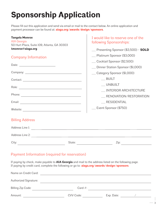## **Sponsorship Application**

Please fill out this application and send via email or mail to the contact below. An online application and payment processor can be found at: **aiaga.org/awards/design/sponsors**.

| <b>Tangela Monroe</b><br><b>AIA Georgia</b><br>50 Hurt Plaza, Suite 109, Atlanta, GA 30303 | I would like to reserve one of the<br>following Sponsorships: |
|--------------------------------------------------------------------------------------------|---------------------------------------------------------------|
| tmonroe@aiaga.org                                                                          | __ Presenting Sponsor (\$3,500) - SOLD                        |
| <b>Company Information</b>                                                                 | _ Platinum Sponsor (\$3,000)                                  |
|                                                                                            | __ Cocktail Sponsor (\$2,500)                                 |
|                                                                                            | _ Dinner Station Sponsor (\$1,000)                            |
|                                                                                            | __ Category Sponsor (\$1,000)                                 |
|                                                                                            | BUILT                                                         |
|                                                                                            | <b>UNBUILT</b>                                                |
|                                                                                            | INTERIOR ARCHITECTURE                                         |
|                                                                                            | RENOVATION/RESTORATION                                        |
|                                                                                            | RESIDENTIAL                                                   |
|                                                                                            | Event Sponsor (\$750)                                         |
| <b>Billing Address</b>                                                                     |                                                               |
| Address Line l: <u>Address Line l:</u>                                                     |                                                               |
|                                                                                            |                                                               |
|                                                                                            |                                                               |
| Payment Information (required for reservation)                                             |                                                               |

If paying by check, make payable to **AIA Georgia** and mail to the address listed on the following page. If paying by credit card, complete the following or go to: **aiaga.org/awards/design/sponsors**.

| Card $#$ : |            |  |
|------------|------------|--|
| CVV Code:  | Exp. Date: |  |
|            |            |  |

3